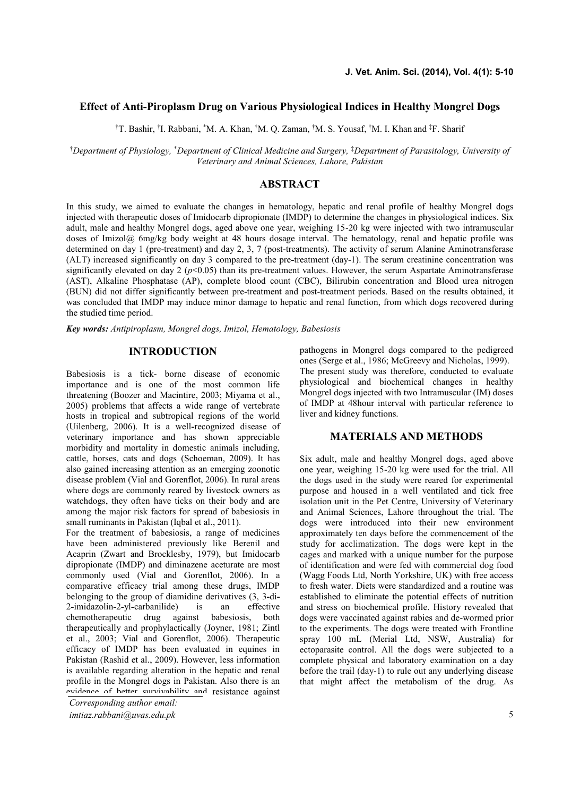# **Effect of Anti-Piroplasm Drug on Various Physiological Indices in Healthy Mongrel Dogs**

†T. Bashir, †I. Rabbani, \*M. A. Khan, †M. Q. Zaman, †M. S. Yousaf, †M. I. Khan and ‡F. Sharif

†*Department of Physiology,* \**Department of Clinical Medicine and Surgery,* ‡*Department of Parasitology, University of Veterinary and Animal Sciences, Lahore, Pakistan*

# **ABSTRACT**

In this study, we aimed to evaluate the changes in hematology, hepatic and renal profile of healthy Mongrel dogs injected with therapeutic doses of Imidocarb dipropionate (IMDP) to determine the changes in physiological indices. Six adult, male and healthy Mongrel dogs, aged above one year, weighing 15-20 kg were injected with two intramuscular doses of Imizol@ 6mg/kg body weight at 48 hours dosage interval. The hematology, renal and hepatic profile was determined on day 1 (pre-treatment) and day 2, 3, 7 (post-treatments). The activity of serum Alanine Aminotransferase (ALT) increased significantly on day 3 compared to the pre**-**treatment (day-1). The serum creatinine concentration was significantly elevated on day  $2 (p<0.05)$  than its pre-treatment values. However, the serum Aspartate Aminotransferase (AST), Alkaline Phosphatase (AP), complete blood count (CBC), Bilirubin concentration and Blood urea nitrogen (BUN) did not differ significantly between pre-treatment and post-treatment periods. Based on the results obtained, it was concluded that IMDP may induce minor damage to hepatic and renal function, from which dogs recovered during the studied time period.

*Key words: Antipiroplasm, Mongrel dogs, Imizol, Hematology, Babesiosis*

# **INTRODUCTION**

Babesiosis is a tick- borne disease of economic importance and is one of the most common life threatening (Boozer and Macintire, 2003; Miyama et al., 2005) problems that affects a wide range of vertebrate hosts in tropical and subtropical regions of the world (Uilenberg, 2006). It is a well**-**recognized disease of veterinary importance and has shown appreciable morbidity and mortality in domestic animals including, cattle, horses, cats and dogs (Schoeman, 2009). It has also gained increasing attention as an emerging zoonotic disease problem (Vial and Gorenflot, 2006). In rural areas where dogs are commonly reared by livestock owners as watchdogs, they often have ticks on their body and are among the major risk factors for spread of babesiosis in small ruminants in Pakistan (Iqbal et al., 2011).

For the treatment of babesiosis, a range of medicines have been administered previously like Berenil and Acaprin (Zwart and Brocklesby, 1979), but Imidocarb dipropionate (IMDP) and diminazene aceturate are most commonly used (Vial and Gorenflot, 2006). In a comparative efficacy trial among these drugs, IMDP belonging to the group of diamidine derivatives (3, 3**-**di**-** 2-imidazolin-2-yl-carbanilide) is an chemotherapeutic drug against babesiosis, both therapeutically and prophylactically (Joyner, 1981; Zintl et al., 2003; Vial and Gorenflot, 2006). Therapeutic efficacy of IMDP has been evaluated in equines in Pakistan (Rashid et al., 2009). However, less information is available regarding alteration in the hepatic and renal profile in the Mongrel dogs in Pakistan. Also there is an process in the contraction of better survivability and resistance against

*Corresponding author email:*

*imtiaz.rabbani@uvas.edu.pk*

pathogens in Mongrel dogs compared to the pedigreed ones (Serge et al., 1986; McGreevy and Nicholas, 1999). The present study was therefore, conducted to evaluate physiological and biochemical changes in healthy Mongrel dogs injected with two Intramuscular (IM) doses of IMDP at 48hour interval with particular reference to liver and kidney functions.

# **MATERIALS AND METHODS**

Six adult, male and healthy Mongrel dogs, aged above one year, weighing 15-20 kg were used for the trial. All the dogs used in the study were reared for experimental purpose and housed in a well ventilated and tick free isolation unit in the Pet Centre, University of Veterinary and Animal Sciences, Lahore throughout the trial. The dogs were introduced into their new environment approximately ten days before the commencement of the study for acclimatization. The dogs were kept in the cages and marked with a unique number for the purpose of identification and were fed with commercial dog food (Wagg Foods Ltd, North Yorkshire, UK) with free access to fresh water. Diets were standardized and a routine was established to eliminate the potential effects of nutrition and stress on biochemical profile. History revealed that dogs were vaccinated against rabies and de-wormed prior to the experiments. The dogs were treated with Frontline spray 100 mL (Merial Ltd, NSW, Australia) for ectoparasite control. All the dogs were subjected to a complete physical and laboratory examination on a day before the trail (day-1) to rule out any underlying disease that might affect the metabolism of the drug. As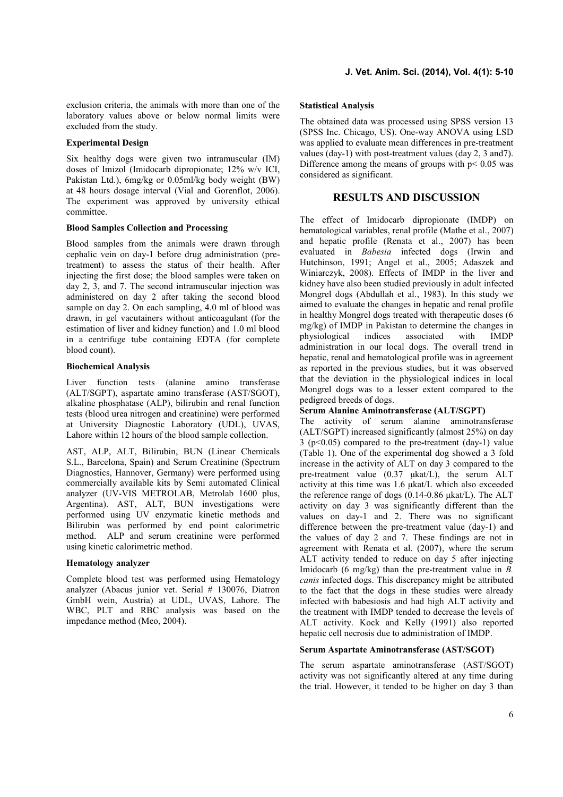exclusion criteria, the animals with more than one of the laboratory values above or below normal limits were excluded from the study.

### **Experimental Design**

Six healthy dogs were given two intramuscular (IM) doses of Imizol (Imidocarb dipropionate; 12% w/v ICI, Pakistan Ltd.), 6mg/kg or 0.05ml/kg body weight (BW) at 48 hours dosage interval (Vial and Gorenflot, 2006). The experiment was approved by university ethical committee.

### **Blood Samples Collection and Processing**

Blood samples from the animals were drawn through cephalic vein on day-1 before drug administration (pretreatment) to assess the status of their health. After injecting the first dose; the blood samples were taken on day 2, 3, and 7. The second intramuscular injection was administered on day 2 after taking the second blood sample on day 2. On each sampling, 4.0 ml of blood was drawn, in gel vacutainers without anticoagulant (for the estimation of liver and kidney function) and 1.0 ml blood in a centrifuge tube containing EDTA (for complete blood count).

## **Biochemical Analysis**

Liver function tests (alanine amino transferase (ALT/SGPT), aspartate amino transferase (AST/SGOT), alkaline phosphatase (ALP), bilirubin and renal function tests (blood urea nitrogen and creatinine) were performed at University Diagnostic Laboratory (UDL), UVAS, Lahore within 12 hours of the blood sample collection.

AST, ALP, ALT, Bilirubin, BUN (Linear Chemicals S.L., Barcelona, Spain) and Serum Creatinine (Spectrum Diagnostics, Hannover, Germany) were performed using commercially available kits by Semi automated Clinical analyzer (UV-VIS METROLAB, Metrolab 1600 plus, Argentina). AST, ALT, BUN investigations were performed using UV enzymatic kinetic methods and Bilirubin was performed by end point calorimetric method. ALP and serum creatinine were performed using kinetic calorimetric method.

# **Hematology analyzer**

Complete blood test was performed using Hematology analyzer (Abacus junior vet. Serial # 130076, Diatron GmbH wein, Austria) at UDL, UVAS, Lahore. The WBC, PLT and RBC analysis was based on the impedance method (Meo, 2004).

### **Statistical Analysis**

The obtained data was processed using SPSS version 13 (SPSS Inc. Chicago, US). One-way ANOVA using LSD was applied to evaluate mean differences in pre-treatment values (day-1) with post-treatment values (day 2, 3 and7). Difference among the means of groups with  $p < 0.05$  was considered as significant.

# **RESULTS AND DISCUSSION**

The effect of Imidocarb dipropionate (IMDP) on hematological variables, renal profile (Mathe et al., 2007) and hepatic profile (Renata et al., 2007) has been evaluated in *Babesia* infected dogs (Irwin and Hutchinson, 1991; Angel et al., 2005; Adaszek and Winiarczyk, 2008). Effects of IMDP in the liver and kidney have also been studied previously in adult infected Mongrel dogs (Abdullah et al., 1983). In this study we aimed to evaluate the changes in hepatic and renal profile in healthy Mongrel dogs treated with therapeutic doses (6 mg/kg) of IMDP in Pakistan to determine the changes in physiological indices associated with IMDP administration in our local dogs. The overall trend in hepatic, renal and hematological profile was in agreement as reported in the previous studies, but it was observed that the deviation in the physiological indices in local Mongrel dogs was to a lesser extent compared to the pedigreed breeds of dogs.

### **Serum Alanine Aminotransferase (ALT/SGPT)**

The activity of serum alanine aminotransferase (ALT/SGPT) increased significantly (almost 25%) on day 3 (p<0.05) compared to the pre**-**treatment (day-1) value (Table 1).One of the experimental dog showed a 3 fold increase in the activity of ALT on day 3 compared to the pre-treatment value (0.37 μkat/L), the serum ALT activity at this time was 1.6 μkat/L which also exceeded the reference range of dogs (0.14-0.86 μkat/L). The ALT activity on day 3 was significantly different than the values on day-1 and 2. There was no significant difference between the pre-treatment value (day-1) and the values of day 2 and 7. These findings are not in agreement with Renata et al. (2007), where the serum ALT activity tended to reduce on day 5 after injecting Imidocarb (6 mg/kg) than the pre-treatment value in *B. canis* infected dogs. This discrepancy might be attributed to the fact that the dogs in these studies were already infected with babesiosis and had high ALT activity and the treatment with IMDP tended to decrease the levels of ALT activity. Kock and Kelly (1991) also reported hepatic cell necrosis due to administration of IMDP.

# **Serum Aspartate Aminotransferase (AST/SGOT)**

The serum aspartate aminotransferase (AST/SGOT) activity was not significantly altered at any time during the trial. However, it tended to be higher on day 3 than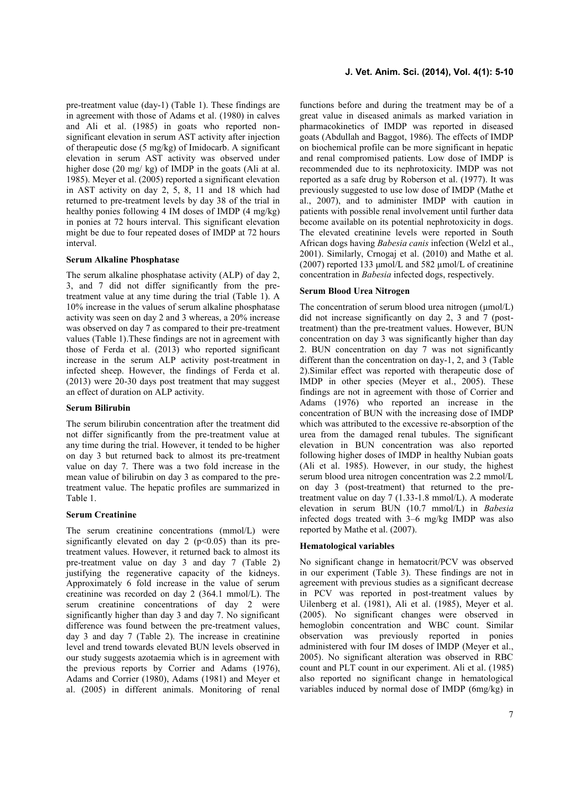pre-treatment value  $(\text{day-1})$  (Table 1). These findings are in agreement with those of Adams et al. (1980) in calves and Ali et al. (1985) in goats who reported non significant elevation in serum AST activity after injection of therapeutic dose (5 mg/kg) of Imidocarb. A significant elevation in serum AST activity was observed under higher dose (20 mg/ kg) of IMDP in the goats (Ali at al. 1985). Meyer et al. (2005) reported a significant elevation in AST activity on day 2, 5, 8, 11 and 18 which had returned to pre-treatment levels by day 38 of the trial in healthy ponies following 4 IM doses of IMDP (4 mg/kg) in ponies at 72 hours interval. This significant elevation might be due to four repeated doses of IMDP at 72 hours interval.

#### **Serum Alkaline Phosphatase**

The serum alkaline phosphatase activity (ALP) of day 2, 3, and 7 did not differ significantly from the pretreatment value at any time during the trial (Table 1). A 10% increase in the values of serum alkaline phosphatase activity was seen on day 2 and 3 whereas, a 20% increase was observed on day 7 as compared to their pre-treatment values (Table 1).These findings are not in agreement with those of Ferda et al. (2013) who reported significant increase in the serum ALP activity post-treatment in infected sheep. However, the findings of Ferda et al. (2013) were 20-30 days post treatment that may suggest an effect of duration on ALP activity.

### **Serum Bilirubin**

The serum bilirubin concentration after the treatment did not differ significantly from the pre-treatment value at any time during the trial. However, it tended to be higher on day 3 but returned back to almost its pre-treatment value on day 7. There was a two fold increase in the mean value of bilirubin on day 3 as compared to the pretreatment value. The hepatic profiles are summarized in Table 1.

#### **Serum Creatinine**

The serum creatinine concentrations (mmol/L) were significantly elevated on day 2 ( $p<0.05$ ) than its pretreatment values. However, it returned back to almost its pre-treatment value on day 3 and day 7 (Table 2) justifying the regenerative capacity of the kidneys. Approximately 6 fold increase in the value of serum creatinine was recorded on day 2 (364.1 mmol/L). The serum creatinine concentrations of day 2 were significantly higher than day 3 and day 7. No significant difference was found between the pre-treatment values, day 3 and day 7 (Table 2). The increase in creatinine level and trend towards elevated BUN levels observed in our study suggests azotaemia which is in agreement with the previous reports by Corrier and Adams (1976), Adams and Corrier (1980), Adams (1981) and Meyer et al. (2005) in different animals. Monitoring of renal functions before and during the treatment may be of a great value in diseased animals as marked variation in pharmacokinetics of IMDP was reported in diseased goats (Abdullah and Baggot, 1986). The effects of IMDP on biochemical profile can be more significant in hepatic and renal compromised patients. Low dose of IMDP is recommended due to its nephrotoxicity. IMDP was not reported as a safe drug by Roberson et al. (1977). It was previously suggested to use low dose of IMDP (Mathe et al., 2007), and to administer IMDP with caution in patients with possible renal involvement until further data become available on its potential nephrotoxicity in dogs. The elevated creatinine levels were reported in South African dogs having *Babesia canis* infection (Welzl et al., 2001). Similarly, Crnogaj et al. (2010) and Mathe et al. (2007) reported 133 μmol/L and 582 µmol/L of creatinine concentration in *Babesia* infected dogs, respectively.

#### **Serum Blood Urea Nitrogen**

The concentration of serum blood urea nitrogen (μmol/L) did not increase significantly on day 2, 3 and 7 (posttreatment) than the pre-treatment values. However, BUN concentration on day 3 was significantly higher than day 2. BUN concentration on day 7 was not significantly different than the concentration on day-1, 2, and 3 (Table 2).Similar effect was reported with therapeutic dose of IMDP in other species (Meyer et al., 2005). These findings are not in agreement with those of Corrier and Adams (1976) who reported an increase in the concentration of BUN with the increasing dose of IMDP which was attributed to the excessive re-absorption of the urea from the damaged renal tubules. The significant elevation in BUN concentration was also reported following higher doses of IMDP in healthy Nubian goats (Ali et al. 1985). However, in our study, the highest serum blood urea nitrogen concentration was 2.2 mmol/L on day 3 (post-treatment) that returned to the pretreatment value on day 7 (1.33-1.8 mmol/L). A moderate elevation in serum BUN (10.7 mmol/L) in *Babesia* infected dogs treated with 3–6 mg/kg IMDP was also reported by Mathe et al. (2007).

### **Hematological variables**

No significant change in hematocrit/PCV was observed in our experiment (Table 3). These findings are not in agreement with previous studies as a significant decrease in PCV was reported in post-treatment values by Uilenberg et al. (1981), Ali et al. (1985), Meyer et al. (2005). No significant changes were observed in hemoglobin concentration and WBC count. Similar observation was previously reported in ponies administered with four IM doses of IMDP (Meyer et al., 2005). No significant alteration was observed in RBC count and PLT count in our experiment. Ali et al. (1985) also reported no significant change in hematological variables induced by normal dose of IMDP (6mg/kg) in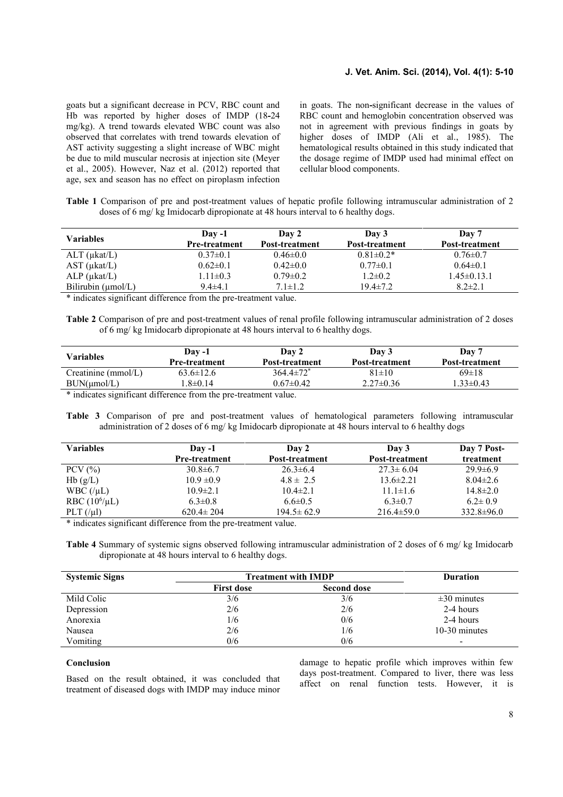## **J. Vet. Anim. Sci. (2014), Vol. 4(1): 5-10**

goats but a significant decrease in PCV, RBC count and Hb was reported by higher doses of IMDP (18**-**24 mg/kg). A trend towards elevated WBC count was also observed that correlates with trend towards elevation of AST activity suggesting a slight increase of WBC might be due to mild muscular necrosis at injection site (Meyer et al., 2005). However, Naz et al. (2012) reported that age, sex and season has no effect on piroplasm infection

in goats. The non**-**significant decrease in the values of RBC count and hemoglobin concentration observed was not in agreement with previous findings in goats by higher doses of IMDP (Ali et al., 1985). The hematological results obtained in this study indicated that the dosage regime of IMDP used had minimal effect on cellular blood components.

**Table 1** Comparison of pre and post-treatment values of hepatic profile following intramuscular administration of 2 doses of 6 mg/ kg Imidocarb dipropionate at 48 hours interval to 6 healthy dogs.

|                          | $\bf{D}$ av -1       | Day 2          | Day 3           | Day 7             |
|--------------------------|----------------------|----------------|-----------------|-------------------|
| Variables                | <b>Pre-treatment</b> | Post-treatment | Post-treatment  | Post-treatment    |
| $ALT$ ( $\mu$ kat/L)     | $0.37 \pm 0.1$       | $0.46 \pm 0.0$ | $0.81 \pm 0.2*$ | $0.76 \pm 0.7$    |
| $AST$ ( $\mu$ kat/ $L$ ) | $0.62 \pm 0.1$       | $0.42 \pm 0.0$ | $0.77 \pm 0.1$  | $0.64 \pm 0.1$    |
| $ALP$ ( $\mu$ kat/ $L$ ) | $1.11 \pm 0.3$       | $0.79 \pm 0.2$ | $1.2 \pm 0.2$   | $1.45 \pm 0.13.1$ |
| Bilirubin $(\mu mol/L)$  | $9.4 \pm 4.1$        | $7.1 \pm 1.2$  | $19.4 \pm 7.2$  | $8.2 \pm 2.1$     |

\* indicates significant difference from the pre-treatment value.

**Table 2** Comparison of pre and post-treatment values of renal profile following intramuscular administration of 2 doses of 6 mg/ kg Imidocarb dipropionate at 48 hours interval to 6 healthy dogs.

| Variables                                                       | $\bf{D}$ av -1<br><b>Pre-treatment</b> | Day 2<br>Post-treatment     | Day 3<br>Post-treatment | Day 7<br>Post-treatment |  |
|-----------------------------------------------------------------|----------------------------------------|-----------------------------|-------------------------|-------------------------|--|
| $C$ reatinine (mmol/L)                                          | $63.6 \pm 12.6$                        | $364.4 \pm 72$ <sup>*</sup> | $81 \pm 10$             | $69 \pm 18$             |  |
| BUN(numol/L)                                                    | $1.8 \pm 0.14$                         | $0.67 \pm 0.42$             | $2.27\pm0.36$           | $1.33\pm0.43$           |  |
| * indicates significant difference from the pre-treatment value |                                        |                             |                         |                         |  |

indicates significant difference from the pre-treatment value.

**Table 3** Comparison of pre and post-treatment values of hematological parameters following intramuscular administration of 2 doses of 6 mg/ kg Imidocarb dipropionate at 48 hours interval to 6 healthy dogs

| $\bf{D}$ av -1       | Day 2                 | Day 3            | Day 7 Post-      |
|----------------------|-----------------------|------------------|------------------|
| <b>Pre-treatment</b> | <b>Post-treatment</b> | Post-treatment   | treatment        |
| $30.8 \pm 6.7$       | $26.3 \pm 6.4$        | $27.3 \pm 6.04$  | $29.9 \pm 6.9$   |
| $10.9 \pm 0.9$       | $4.8 \pm 2.5$         | $13.6 \pm 2.21$  | $8.04 \pm 2.6$   |
| $10.9 \pm 2.1$       | $10.4 \pm 2.1$        | $11.1 \pm 1.6$   | $14.8 \pm 2.0$   |
| $6.3 \pm 0.8$        | $6.6 \pm 0.5$         | $6.3 \pm 0.7$    | $6.2 \pm 0.9$    |
| $620.4 \pm 204$      | $194.5 \pm 62.9$      | $216.4 \pm 59.0$ | $332.8 \pm 96.0$ |
|                      |                       |                  |                  |

\* indicates significant difference from the pre-treatment value.

**Table 4** Summary of systemic signs observed following intramuscular administration of 2 doses of 6 mg/ kg Imidocarb dipropionate at 48 hours interval to 6 healthy dogs.

| <b>Systemic Signs</b> | <b>Treatment with IMDP</b> | <b>Duration</b>    |                          |
|-----------------------|----------------------------|--------------------|--------------------------|
|                       | <b>First dose</b>          | <b>Second dose</b> |                          |
| Mild Colic            | 3/6                        | 3/6                | $\pm 30$ minutes         |
| Depression            | 2/6                        | 2/6                | 2-4 hours                |
| Anorexia              | 1/6                        | 0/6                | 2-4 hours                |
| Nausea                | 2/6                        | 1/6                | 10-30 minutes            |
| Vomiting              | 0/6                        | 0/6                | $\overline{\phantom{0}}$ |

# **Conclusion**

Based on the result obtained, it was concluded that treatment of diseased dogs with IMDP may induce minor damage to hepatic profile which improves within few days post-treatment. Compared to liver, there was less affect on renal function tests. However, it is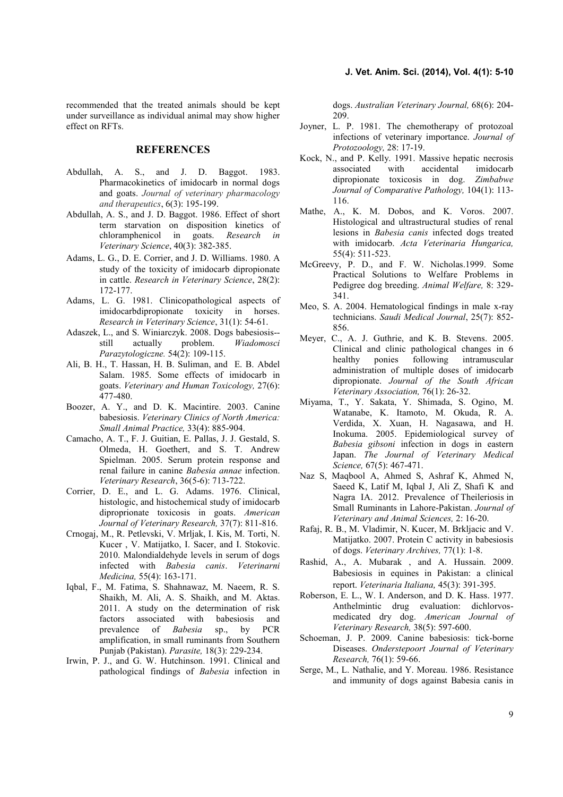recommended that the treated animals should be kept under surveillance as individual animal may show higher effect on RFTs.

# **REFERENCES**

- Abdullah, A. S., and J. D. Baggot. 1983. Pharmacokinetics of imidocarb in normal dogs and goats. *Journal of veterinary pharmacology and therapeutics*, 6(3): 195-199.
- Abdullah, A. S., and J. D. Baggot. 1986. Effect of short term starvation on disposition kinetics of chloramphenicol in goats. *Research in Veterinary Science*, 40(3): 382-385.
- Adams, L. G., D. E. Corrier, and J. D. Williams. 1980. A study of the toxicity of imidocarb dipropionate in cattle. *Research in Veterinary Science*, 28(2): 172-177.
- Adams, L. G. 1981. Clinicopathological aspects of imidocarbdipropionate toxicity in horses. *Research in Veterinary Science*, 31(1): 54-61.
- Adaszek, L., and S. Winiarczyk. 2008. Dogs babesiosis- still actually problem. *Wiadomosci Parazytologiczne.* 54(2): 109-115.
- Ali, B. H., T. Hassan, H. B. Suliman, and E. B. Abdel Salam. 1985. Some effects of imidocarb in goats. *Veterinary and Human Toxicology,* 27(6): 477-480.
- Boozer, A. Y., and D. K. Macintire. 2003. Canine babesiosis. *Veterinary Clinics of North America: Small Animal Practice,* 33(4): 885-904.
- Camacho, A. T., F. J. Guitian, E. Pallas, J. J. Gestald, S. Olmeda, H. Goethert, and S. T. Andrew Spielman. 2005. Serum protein response and renal failure in canine *Babesia annae* infection. *Veterinary Research*, 36(5-6): 713-722.
- Corrier, D. E., and L. G. Adams. 1976. Clinical, histologic, and histochemical study of imidocarb diproprionate toxicosis in goats. *American Journal of Veterinary Research,* 37(7): 811-816.
- Crnogaj, M., R. Petlevski, V. Mrljak, I. Kis, M. Torti, N. Kucer , V. Matijatko, I. Sacer, and I. Stokovic. 2010. Malondialdehyde levels in serum of dogs infected with *Babesia canis*. *Veterinarni Medicina,* 55(4): 163-171.
- Iqbal, F., M. Fatima, S. Shahnawaz, M. Naeem, R. S. Shaikh, M. Ali, A. S. Shaikh, and M. Aktas. 2011. A study on the determination of risk factors associated with babesiosis and prevalence of *Babesia* sp., by PCR amplification, in small ruminants from Southern Punjab (Pakistan). *Parasite,* 18(3): 229-234.
- Irwin, P. J., and G. W. Hutchinson. 1991. Clinical and pathological findings of *Babesia* infection in

dogs. *Australian Veterinary Journal,* 68(6): 204- 209.

- Joyner, L. P. 1981. The chemotherapy of protozoal infections of veterinary importance. *Journal of Protozoology,* 28: 17-19.
- Kock, N., and P. Kelly. 1991. Massive hepatic necrosis associated with accidental imidocarb dipropionate toxicosis in dog. *Zimbabwe Journal of Comparative Pathology,* 104(1): 113- 116.
- Mathe, A., K. M. Dobos, and K. Voros. 2007. Histological and ultrastructural studies of renal lesions in *Babesia canis* infected dogs treated with imidocarb. *Acta Veterinaria Hungarica,* 55(4): 511-523.
- McGreevy, P. D., and F. W. Nicholas.1999. Some Practical Solutions to Welfare Problems in Pedigree dog breeding. *Animal Welfare,* 8: 329- 341.
- Meo, S. A. 2004. Hematological findings in male x-ray technicians. *Saudi Medical Journal*, 25(7): 852- 856.
- Meyer, C., A. J. Guthrie, and K. B. Stevens. 2005. Clinical and clinic pathological changes in 6 healthy ponies following intramuscular administration of multiple doses of imidocarb dipropionate. *Journal of the South African Veterinary Association,* 76(1): 26-32.
- Miyama, T., Y. Sakata, Y. Shimada, S. Ogino, M. Watanabe, K. Itamoto, M. Okuda, R. A. Verdida, X. Xuan, H. Nagasawa, and H. Inokuma. 2005. Epidemiological survey of *Babesia gibsoni* infection in dogs in eastern Japan. *The Journal of Veterinary Medical Science,* 67(5): 467-471.
- Naz S, Maqbool A, Ahmed S, Ashraf K, Ahmed N, Saeed K, Latif M, Iqbal J, Ali Z, Shafi K and Nagra IA. 2012. Prevalence of Theileriosis in Small Ruminants in Lahore-Pakistan. *Journal of Veterinary and Animal Sciences,* 2: 16-20.
- Rafaj, R. B., M. Vladimir, N. Kucer, M. Brkljacic and V. Matijatko. 2007. Protein C activity in babesiosis of dogs. *Veterinary Archives,* 77(1): 1-8.
- Rashid, A., A. Mubarak , and A. Hussain. 2009. Babesiosis in equines in Pakistan: a clinical report. *Veterinaria Italiana,* 45(3): 391-395.
- Roberson, E. L., W. I. Anderson, and D. K. Hass. 1977. Anthelmintic drug evaluation: dichlorvos medicated dry dog. *American Journal of Veterinary Research,* 38(5): 597-600.
- Schoeman, J. P. 2009. Canine babesiosis: tick-borne Diseases. *Onderstepoort Journal of Veterinary Research,* 76(1): 59-66.
- Serge, M., L. Nathalie, and Y. Moreau. 1986. Resistance and immunity of dogs against Babesia canis in